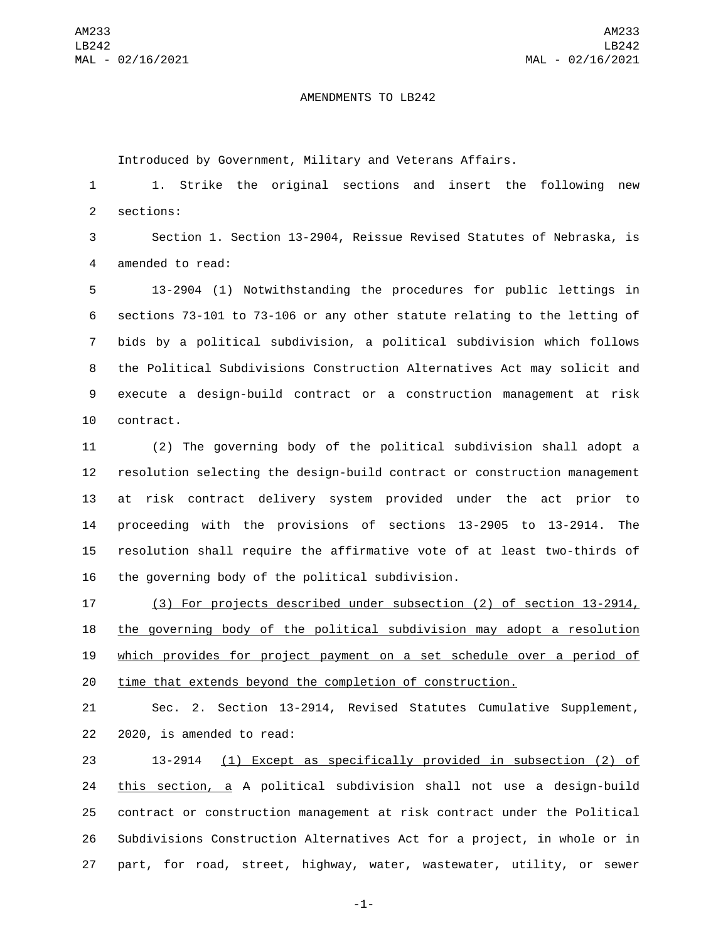## AMENDMENTS TO LB242

Introduced by Government, Military and Veterans Affairs.

 1. Strike the original sections and insert the following new 2 sections:

 Section 1. Section 13-2904, Reissue Revised Statutes of Nebraska, is 4 amended to read:

 13-2904 (1) Notwithstanding the procedures for public lettings in sections 73-101 to 73-106 or any other statute relating to the letting of bids by a political subdivision, a political subdivision which follows the Political Subdivisions Construction Alternatives Act may solicit and execute a design-build contract or a construction management at risk 10 contract.

 (2) The governing body of the political subdivision shall adopt a resolution selecting the design-build contract or construction management at risk contract delivery system provided under the act prior to proceeding with the provisions of sections 13-2905 to 13-2914. The resolution shall require the affirmative vote of at least two-thirds of 16 the governing body of the political subdivision.

 (3) For projects described under subsection (2) of section 13-2914, the governing body of the political subdivision may adopt a resolution which provides for project payment on a set schedule over a period of time that extends beyond the completion of construction.

 Sec. 2. Section 13-2914, Revised Statutes Cumulative Supplement, 22 2020, is amended to read:

 13-2914 (1) Except as specifically provided in subsection (2) of this section, a A political subdivision shall not use a design-build contract or construction management at risk contract under the Political Subdivisions Construction Alternatives Act for a project, in whole or in part, for road, street, highway, water, wastewater, utility, or sewer

-1-